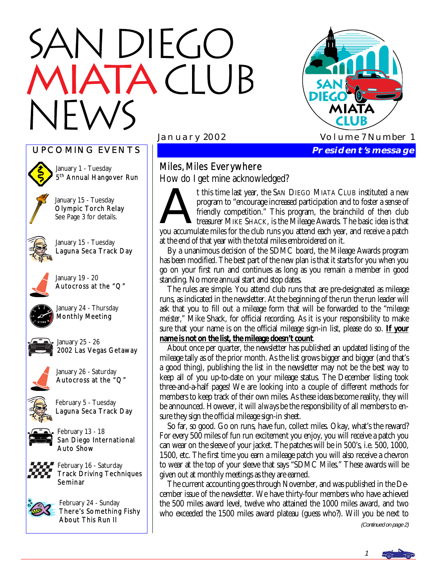# N DIEGO TACIUB





January 1 - Tuesday 5<sup>th</sup> Annual Hangover Run

January 15 - Tuesday Olympic Torch Relay See Page 3 for details.



January 15 - Tuesday Laguna Seca Track Day



January 19 - 20 Autocross at the "Q"



January 24 - Thursday Monthly Meeting



January 25 - 26 2002 Las Vegas Getaway



January 26 - Saturday Autocross at the "Q"



February 5 - Tuesday Laguna Seca Track Day



February 13 - 18 San Diego International Auto Show



February 16 - Saturday Track Driving Techniques Seminar



February 24 - Sunday There's Something Fishy About This Run II

# Miles, Miles Everywhere

How do I get mine acknowledged?

How do I get mine acknowledged?<br>
t this time last year, the SAN DIEGO MIATA CLUB instituted a new<br>
program to "encourage increased participation and to foster a sense of<br>
friendly competition." This program, the brainchild program to "encourage increased participation and to foster a sense of friendly competition." This program, the brainchild of then club treasurer MIKE SHACK, is the Mileage Awards. The basic idea is that you accumulate miles for the club runs you attend each year, and receive a patch at the end of that year with the total miles embroidered on it.

 By a unanimous decision of the SDMC board, the Mileage Awards program has been modified. The best part of the new plan is that it starts for you when you go on your first run and continues as long as you remain a member in good standing. No more annual start and stop dates.

 The rules are simple. You attend club runs that are pre-designated as mileage runs, as indicated in the newsletter. At the beginning of the run the run leader will ask that you to fill out a mileage form that will be forwarded to the "*mileage meister,"* Mike Shack, for official recording. As it is your responsibility to make sure that your name is on the official mileage sign-in list, please do so. **If your name is not on the list, the mileage doesn't count**.

 About once per quarter, the newsletter has published an updated listing of the mileage tally as of the prior month. As the list grows bigger and bigger (and that's a good thing), publishing the list in the newsletter may not be the best way to keep all of you up-to-date on your mileage status. The December listing took three-and-a-half pages! We are looking into a couple of different methods for members to keep track of their own miles. As these ideas become reality, they will be announced. However, it will *always* be the responsibility of all members to ensure they sign the official mileage sign-in sheet.

 So far, so good. Go on runs, have fun, collect miles. Okay, what's the reward? For every 500 miles of fun run excitement you enjoy, you will receive a patch you can wear on the sleeve of your jacket. The patches will be in 500's, i.e. 500, 1000, 1500, etc. The first time you earn a mileage patch you will also receive a chevron to wear at the top of your sleeve that says "SDMC Miles." These awards will be given out at monthly meetings as they are earned.

 The current accounting goes through November, and was published in the December issue of the newsletter. We have thirty-four members who have achieved the 500 miles award level, twelve who attained the 1000 miles award, and two who exceeded the 1500 miles award plateau (guess who?). Will you be next to

(Continued on page 2)

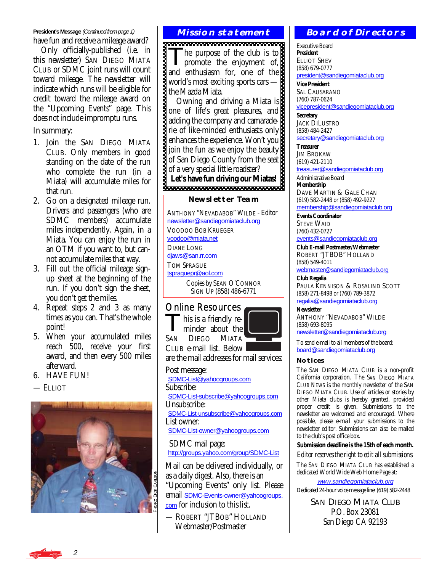#### **President's Message (Continued from page 1) MISSION STATEMENT**

have fun and receive a mileage award?

 Only officially-published (i.e. in this newsletter) SAN DIEGO MIATA CLUB or SDMC joint runs will count toward mileage. The newsletter will indicate which runs will be eligible for credit toward the mileage award on the "Upcoming Events" page. This does *not* include impromptu runs.

In summary:

- 1. Join the SAN DIEGO MIATA CLUB. Only members in good standing on the date of the run who complete the run (in a Miata) will accumulate miles for that run.
- 2. Go on a designated mileage run. Drivers and passengers (who are SDMC members) accumulate miles independently. Again, in a Miata. You can enjoy the run in an OTM if you want to, but cannot accumulate miles that way.
- 3. Fill out the official mileage signup sheet at the beginning of the run. If you don't sign the sheet, you don't get the miles.
- 4. Repeat steps 2 and 3 as many times as you can. That's the whole point!
- 5. When your accumulated miles reach 500, receive your first award, and then every 500 miles afterward.
- 6. HAVE FUN!
- $-$ ELLIOT



The purpose of the club is to<br>promote the enjoyment of, and enthusiasm for, one of the world's most exciting sports cars the Mazda Miata.

 Owning and driving a Miata is one of life's great pleasures, and adding the company and camaraderie of like-minded enthusiasts only enhances the experience. Won't you join the fun as we enjoy the beauty of San Diego County from the seat of a very special little roadster?

**Let's have fun driving our Miatas!** 

#### **Newsletter Team**

ANTHONY "NEVADABOB" WILDE - Editor [newsletter@sandiegomiataclub.org](mailto:newsletter@sandiegomiataclub.org) VOODOO BOB KRUEGER [voodoo@miata.net](mailto:voodoo@miata.net) DIANE LONG diaws@san.rr.com TOM SPRAGUE [tspraguepr@aol.com](mailto:tspraguepr@aol.com) Copies by SEAN O'CONNOR SIGN UP (858) 486-6771

# Online Resources

his is a friendly reminder about the SAN DIEGO MIATA



are the mail addresses for mail services:

Post message: [SDMC-List@yahoogroups.com](mailto:SDMC-List@yahoogroups.com) Subscribe: [SDMC-List-subscribe@yahoogroups.com](mailto:SDMC-List-subscribe@yahoogroups.com) Unsubscribe: [SDMC-List-unsubscribe@yahoogroups.com](mailto:SDMC-List-unsubscribe@yahoogroups.com) List owner: [SDMC-List-owner@yahoogroups.com](mailto:SDMC-List-owner@yahoogroups.com) SDMC mail page: <http://groups.yahoo.com/group/SDMC-List>

Mail can be delivered individually, or as a daily digest. Also, there is an "Upcoming Events" only list. Please email [SDMC-Events-owner@yahoogroups.](mailto:SDMC-List-owner@yahoogroups.com) [com](mailto:SDMC-List-owner@yahoogroups.com) for inclusion to this list.

— ROBERT "JTBOB" HOLLAND Webmaster/Postmaster

# **Board of Directors**

Executive Board **President**  ELLIOT SHEV (858) 679-0777 [president@sandiegomiataclub.org](mailto:president@sandiegomiataclub.org)

**Vice President**  SAL CAUSARANO (760) 787-0624 [vicepresident@sandiegomiataclub.org](mailto:vicepresident@sandiegomiataclub.org)

**Secretary**  JACK DILUSTRO (858) 484-2427 [secretary@sandiegomiataclub.org](mailto:secretary@sandiegomiataclub.org)

**Treasurer**  JIM BROKAW (619) 421-2110 [treasurer@sandiegomiataclub.org](mailto:treasurer@sandiegomiataclub.org)

Administrative Board **Membership**  DAVE MARTIN & GALE CHAN (619) 582-2448 or (858) 492-9227 [membership@sandiegomiataclub.org](mailto:membership@sandiegomiataclub.org)

**Events Coordinator**  STEVE WAID (760) 432-0727

[events@sandiegomiataclub.org](mailto:events@sandiegomiataclub.org)

**Club E-mail Postmaster/Webmaster**  ROBERT "JTBOB" HOLLAND (858) 549-4011

[webmaster@sandiegomiataclub.org](mailto:webmaster@sandiegomiataclub.org)

**Club Regalia**  PAULA KENNISON & ROSALIND SCOTT (858) 271-8498 or (760) 789-3872 [regalia@sandiegomiataclub.org](mailto:regalia@sandiegomiataclub.org)

**Newsletter** 

ANTHONY "NEVADABOB" WILDE (858) 693-8095

[newsletter@sandiegomiataclub.org](mailto:newsletter@sandiegomiataclub.org)

To send e-mail to all members of the board: [board@sandiegomiataclub.org](mailto:board@sandiegomiataclub.org)

# **Notices**

The SAN DIEGO MIATA CLUB is a non-profit California corporation. The *SAN DIEGO MIATA CLUB NEWS* is the monthly newsletter of the SAN DIEGO MIATA CLUB. Use of articles or stories by other Miata clubs is hereby granted, provided proper credit is given. Submissions to the newsletter are welcomed and encouraged. Where possible, please e-mail your submissions to the newsletter editor. Submissions can also be mailed to the club's post office box.

**Submission deadline is the 15th of each month.** 

*Editor reserves the right to edit all submissions.* The SAN DIEGO MIATA CLUB has established a dedicated World Wide Web Home Page at:

[www.sandiegomiataclub.org](http://www.sandiegomiataclub.org) Dedicated 24-hour voice message line: (619) 582-2448

> SAN DIEGO MIATA CLUB P.O. Box 23081 San Diego CA 92193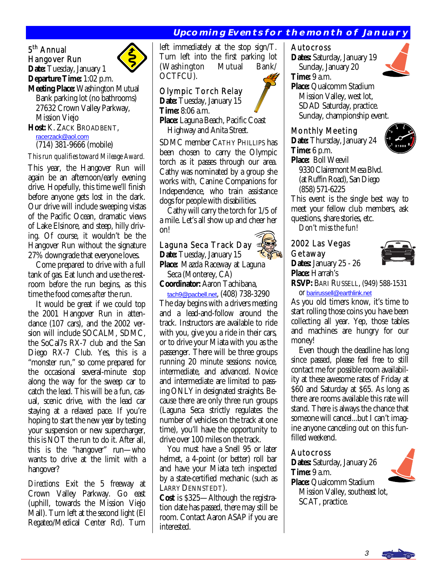# **Upcoming Events for the month of January**

#### 5<sup>th</sup> Annual Hangover Run **Date:** Tuesday, January 1



**Departure Time:** 1:02 p.m.

**Meeting Place:** Washington Mutual Bank parking lot (no bathrooms) 27632 Crown Valley Parkway, Mission Viejo

**Host: K. ZACK BROADBENT,**<br>racerzack@aol.com

(714) 381-9666 (mobile)

#### *This run qualifies toward Mileage Award.*

This year, the Hangover Run will again be an afternoon/early evening drive. Hopefully, this time we'll finish before anyone gets lost in the dark. Our drive will include sweeping vistas of the Pacific Ocean, dramatic views of Lake Elsinore, and steep, hilly driving. Of course, it wouldn't be the Hangover Run without the signature 27% downgrade that everyone loves.

 Come prepared to drive with a full tank of gas. Eat lunch and use the restroom *before* the run begins, as this time the food comes *after* the run.

 It would be great if we could top the 2001 Hangover Run in attendance (107 cars), and the 2002 version will include SOCALM, SDMC, the SoCal7s RX-7 club and the San Diego RX-7 Club. Yes, this is a "monster run," so come prepared for the occasional several-minute stop along the way for the sweep car to catch the lead. This will be a fun, casual, scenic drive, with the lead car staying at a relaxed pace. If you're hoping to start the new year by testing your suspension or new supercharger, this is NOT the run to do it. After all, this is the "hangover" run—who wants to drive at the limit with a hangover?

*Directions:* Exit the 5 freeway at Crown Valley Parkway. Go east (uphill, towards the Mission Viejo Mall). Turn left at the second light (El Regateo/Medical Center Rd). Turn left immediately at the stop sign/T. Turn left into the first parking lot (Washington Mutual Bank/ OCTFCU).

# Olympic Torch Relay

**Date:** Tuesday, January 15 **Time:** 8:06 a.m. **Place:** Laguna Beach, Pacific Coast Highway and Anita Street*.*

SDMC member CATHY PHILLIPS has been chosen to carry the Olympic torch as it passes through our area. Cathy was nominated by a group she works with, Canine Companions for Independence, who train assistance dogs for people with disabilities.

 Cathy will carry the torch for 1/5 of a mile. Let's all show up and cheer her on!

# Laguna Seca Track Day

**Date:** Tuesday, January 15 **Place:** Mazda Raceway at Laguna Seca (Monterey, CA)

**Coordinator:** Aaron Tachibana,

 [tach9@pacbell.net](mailto:tach9@pacbell.net), (408) 738-3290 The day begins with a drivers meeting and a lead-and-follow around the track. Instructors are available to ride with you, give you a ride in their cars, or to drive your Miata with you as the passenger. There will be three groups running 20 minute sessions: novice, intermediate, and advanced. Novice and intermediate are limited to passing ONLY in designated straights. Because there are only three run groups (Laguna Seca strictly regulates the number of vehicles on the track at one time), you'll have the opportunity to drive over 100 miles on the track.

 You must have a Snell 95 or later helmet, a 4-point (or better) roll bar and have your Miata tech inspected by a state-certified mechanic (such as LARRY DENNSTEDT).

**Cost** is \$325—Although the registration date has passed, there may still be room. Contact Aaron ASAP if you are interested.

#### Autocross

**Dates:** Saturday, January 19 Sunday, January 20



**Time:** 9 a.m. **Place:** Qualcomm Stadium Mission Valley, west lot, SDAD Saturday, practice. Sunday, championship event.

# Monthly Meeting

**Date:** Thursday, January 24 **Time:** 6 p.m. **Place:** Boll Weevil



 9330 Clairemont Mesa Blvd. (at Ruffin Road), San Diego (858) 571-6225

This event is the single best way to meet your fellow club members, ask questions, share stories, etc.

*Don't miss the fun!* 

# 2002 Las Vegas Getaway



**Dates:** January 25 - 26 **Place:** Harrah's

**RSVP:** BARI RUSSELL, (949) 588-1531

or [barirussell@earthlink.net](mailto:barirussell@earthlink.net)

As you old timers know, it's time to start rolling those coins you have been collecting all year. Yep, those tables and machines are hungry for our money!

 Even though the deadline has long since passed, please feel free to still contact me for possible room availability at these awesome rates of Friday at \$60 and Saturday at \$65. As long as there are rooms available this rate will stand. There is always the chance that someone will cancel...but I can't imagine anyone canceling out on this funfilled weekend.

# Autocross

**Dates:** Saturday, January 26 **Time:** 9 a.m. **Place:** Qualcomm Stadium



 Mission Valley, southeast lot, SCAT, practice.

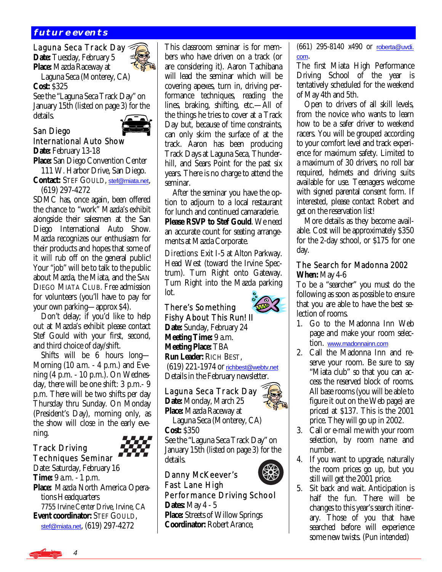# **future events**

Laguna Seca Track Day **Date:** Tuesday, February 5

**Place:** Mazda Raceway at Laguna Seca (Monterey, CA) **Cost:** \$325

See the "Laguna Seca Track Day" on January 15th (listed on page 3) for the details.



### San Diego International Auto Show Date: February 13-18

Ì

**Place:** San Diego Convention Center

 111 W. Harbor Drive, San Diego. **Contact:** STEF GOULD, [stef@miata.net](mailto:stef@miata.net), (619) 297-4272

SDMC has, once again, been offered the chance to "work" Mazda's exhibit alongside their salesmen at the San Diego International Auto Show. Mazda recognizes our enthusiasm for their products and hopes that some of it will rub off on the general public! Your "job" will be to talk to the public about Mazda, the Miata, and the SAN DIEGO MIATA CLUB. *Free* admission for volunteers (you'll have to pay for your own parking—approx \$4).

 Don't delay; if you'd like to help out at Mazda's exhibit please contact Stef Gould with your first, second, and third choice of day/shift.

 Shifts will be 6 hours long— Morning (10 a.m. - 4 p.m.) and Evening (4 p.m. - 10 p.m.). On Wednesday, there will be one shift: 3 p.m.- 9 p.m. There will be two shifts per day Thursday thru Sunday. On Monday (President's Day), morning only, as the show will close in the early evening.

# Track Driving Techniques Seminar

Date: Saturday, February 16 **Time:** 9 a.m. - 1 p.m. **Place:** Mazda North America Opera tions Headquarters 7755 Irvine Center Drive, Irvine, CA **Event coordinator:** STEF GOULD, [stef@miata.net](mailto:stef@miata.net), (619) 297-4272

This classroom seminar is for members who have driven on a track (or are considering it). Aaron Tachibana will lead the seminar which will be covering apexes, turn in, driving performance techniques, reading the lines, braking, shifting, etc.—All of the things he tries to cover at a Track Day but, because of time constraints, can only skim the surface of at the track. Aaron has been producing Track Days at Laguna Seca, Thunderhill, and Sears Point for the past six years. There is no charge to attend the seminar.

 After the seminar you have the option to adjourn to a local restaurant for lunch and continued camaraderie. **Please RSVP to Stef Gould**. We need an accurate count for seating arrangements at Mazda Corporate.

*Directions:* Exit I-5 at Alton Parkway. Head West (toward the Irvine Spectrum). Turn Right onto Gateway. Turn Right into the Mazda parking lot.

# There's Something Fishy About This Run! II

**Date:** Sunday, February 24 **Meeting Time:** 9 a.m. **Meeting Place:** TBA **Run Leader:** RICH BEST, (619) 221-1974 or [richbest@webtv.net](mailto:richbest@webtv.net) Details in the February newsletter.

Laguna Seca Track Day **Date:** Monday, March 25 **Place:** Mazda Raceway at

 Laguna Seca (Monterey, CA) **Cost:** \$350

See the "Laguna Seca Track Day" on January 15th (listed on page 3) for the details. Ì

# Danny McKeever's

Fast Lane High Performance Driving School **Dates:** May 4 - 5 **Place:** Streets of Willow Springs **Coordinator:** Robert Arance,

(661) 295-8140 x490 or [roberta@uvdi.](mailto:roberta@uvdi.com) [com](mailto:roberta@uvdi.com).

The first Miata High Performance Driving School of the year is tentatively scheduled for the weekend of May 4th and 5th.

 Open to drivers of all skill levels, from the novice who wants to learn how to be a safer driver to weekend racers. You will be grouped according to your comfort level and track experience for maximum safety. Limited to a maximum of 30 drivers, no roll bar required, helmets and driving suits available for use. Teenagers welcome with signed parental consent form. If interested, please contact Robert and get on the reservation list!

 More details as they become available. Cost will be approximately \$350 for the 2-day school, or \$175 for one day.

# The Search for Madonna 2002 **When:** May 4-6

To be a "searcher" you must do the following as soon as possible to ensure that you are able to have the best selection of rooms.

- 1. Go to the Madonna Inn Web page and make your room selection. [www.madonnainn.com](http://www.madonnainn.com)
- 2. Call the Madonna Inn and reserve your room. Be sure to say "Miata club" so that you can access the reserved block of rooms. All base rooms (you will be able to figure it out on the Web page) are priced at \$137. This is the 2001 price. They will go up in 2002.
- 3. Call or e-mail me with your room selection, by room name and number.
- 4. If you want to upgrade, naturally the room prices go up, but you still will get the 2001 price.
- 5. Sit back and wait. Anticipation is half the fun. There will be changes to this year's search itinerary. Those of you that have searched before will experience some new twists. (Pun intended)

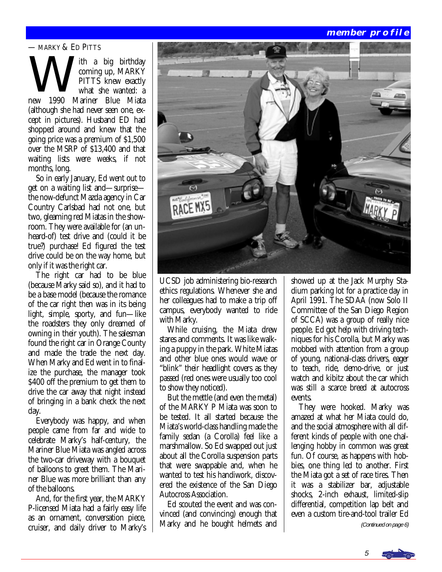# **member profile**

#### — MARKY & ED PITTS

— MARKY & ED PITTS<br>
th a big birthday<br>
coming up, MARKY<br>
PITTS knew exactly<br>
what she wanted: coming up, MARKY PITTS knew exactly what she wanted: a new 1990 Mariner Blue Miata (although she had never seen one, except in pictures). Husband ED had shopped around and knew that the going price was a premium of \$1,500 over the MSRP of \$13,400 and that waiting lists were weeks, if not months, long.

 So in early January, Ed went out to get on a waiting list and—surprise the now-defunct Mazda agency in Car Country Carlsbad had not one, but two, gleaming red Miatas in the showroom. They were available for (an unheard-of) test drive and (could it be true?) purchase! Ed figured the test drive could be on the way home, but only if it was the right car.

 The right car had to be blue (because Marky said so), and it had to be a base model (because the romance of the car right then was in its being light, simple, sporty, and fun—like the roadsters they only dreamed of owning in their youth). The salesman found the right car in Orange County and made the trade the next day. When Marky and Ed went in to finalize the purchase, the manager took \$400 off the premium to get them to drive the car away that night instead of bringing in a bank check the next day.

 Everybody was happy, and when people came from far and wide to celebrate Marky's half-century, the Mariner Blue Miata was angled across the two-car driveway with a bouquet of balloons to greet them. The Mariner Blue was more brilliant than any of the balloons.

 And, for the first year, the MARKY P-licensed Miata had a fairly easy life as an ornament, conversation piece, cruiser, and daily driver to Marky's



UCSD job administering bio-research ethics regulations. Whenever she and her colleagues had to make a trip off campus, everybody wanted to ride with Marky.

 While cruising, the Miata drew stares and comments. It was like walking a puppy in the park. White Miatas and other blue ones would wave or "blink" their headlight covers as they passed (red ones were usually too cool to show they noticed).

 But the mettle (and even the metal) of the MARKY P Miata was soon to be tested. It all started because the Miata's world-class handling made the family sedan (a Corolla) feel like a marshmallow. So Ed swapped out just about all the Corolla suspension parts that were swappable and, when he wanted to test his handiwork, discovered the existence of the San Diego Autocross Association.

 Ed scouted the event and was convinced (and convincing) enough that Marky and he bought helmets and showed up at the Jack Murphy Stadium parking lot for a practice day in April 1991. The SDAA (now Solo II Committee of the San Diego Region of SCCA) was a group of really nice people. Ed got help with driving techniques for his Corolla, but Marky was mobbed with attention from a group of young, national-class drivers, eager to teach, ride, demo-drive, or just watch and kibitz about the car which was still a scarce breed at autocross events.

 They were hooked. Marky was amazed at what her Miata could do, and the social atmosphere with all different kinds of people with one challenging hobby in common was great fun. Of course, as happens with hobbies, one thing led to another. First the Miata got a set of race tires. Then it was a stabilizer bar, adjustable shocks, 2-inch exhaust, limited-slip differential, competition lap belt and even a custom tire-and-tool trailer Ed

(Continued on page 6)

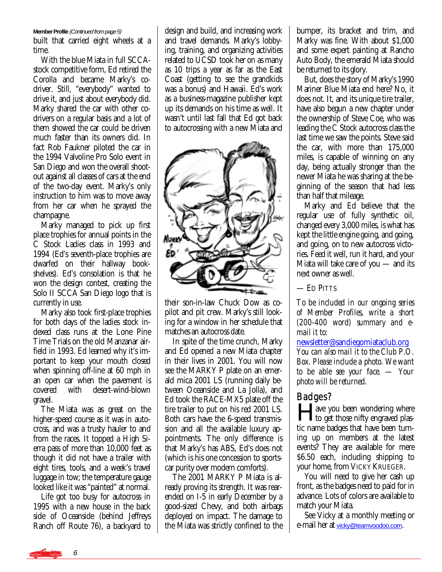#### **Member Profile** (Continued from page 5)

built that carried eight wheels at a time.

 With the blue Miata in full SCCAstock competitive form, Ed retired the Corolla and became Marky's codriver. Still, "everybody" wanted to drive it, and just about everybody did. Marky shared the car with other codrivers on a regular basis and a lot of them showed the car could be driven much faster than its owners did. In fact Rob Faukner piloted the car in the 1994 Valvoline Pro Solo event in San Diego and won the overall shootout against all classes of cars at the end of the two-day event. Marky's only instruction to him was to move away from her car when he sprayed the champagne.

 Marky managed to pick up first place trophies for annual points in the C Stock Ladies class in 1993 and 1994 (Ed's seventh-place trophies are dwarfed on their hallway bookshelves). Ed's consolation is that he won the design contest, creating the Solo II SCCA San Diego logo that is currently in use.

 Marky also took first-place trophies for both days of the ladies stock indexed class runs at the Lone Pine Time Trials on the old Manzanar airfield in 1993. Ed learned why it's important to keep your mouth closed when spinning off-line at 60 mph in an open car when the pavement is<br>covered with desert-wind-blown covered with desert-wind-blown gravel.

 The Miata was as great on the higher-speed course as it was in autocross, and was a trusty hauler to and from the races. It topped a High Sierra pass of more than 10,000 feet as though it did not have a trailer with eight tires, tools, and a week's travel luggage in tow; the temperature gauge looked like it was "painted" at normal.

 Life got too busy for autocross in 1995 with a new house in the back side of Oceanside (behind Jeffreys Ranch off Route 76), a backyard to design and build, and increasing work and travel demands. Marky's lobbying, training, and organizing activities related to UCSD took her on as many as 10 trips a year as far as the East Coast (getting to see the grandkids was a bonus) and Hawaii. Ed's work as a business-magazine publisher kept up its demands on his time as well. It wasn't until last fall that Ed got back to autocrossing with a new Miata and



their son-in-law Chuck Dow as copilot and pit crew. Marky's still looking for a window in her schedule that matches an autocross date.

 In spite of the time crunch, Marky and Ed opened a new Miata chapter in their lives in 2001. You will now see the MARKY P plate on an emerald mica 2001 LS (running daily between Oceanside and La Jolla), and Ed took the RACE-MX5 plate off the tire trailer to put on his red 2001 LS. Both cars have the 6-speed transmission and all the available luxury appointments. The only difference is that Marky's has ABS, Ed's does not (which is his one concession to sportscar purity over modern comforts).

 The 2001 MARKY P Miata is already proving its strength. It was rearended on I-5 in early December by a good-sized Chevy, and both airbags deployed on impact. The damage to the Miata was strictly confined to the bumper, its bracket and trim, and Marky was fine. With about \$1,000 and some expert painting at Rancho Auto Body, the emerald Miata should be returned to its glory.

 But, does the story of Marky's 1990 Mariner Blue Miata end here? No, it does not. It, and its unique tire trailer, have also begun a new chapter under the ownership of Steve Coe, who was leading the C Stock autocross class the last time we saw the points. Steve said the car, with more than 175,000 miles, is capable of winning on any day, being actually stronger than the newer Miata he was sharing at the beginning of the season that had less than half that mileage.

 Marky and Ed believe that the regular use of fully synthetic oil, changed every 3,000 miles, is what has kept the little engine going, and going, and going, on to new autocross victories. Feed it well, run it hard, and your Miata will take care of you — and its next owner as well.

— ED PITTS

*To be included in our ongoing series of Member Profiles, write a short (200-400 word) summary and email it to:* 

[newsletter@sandiegomiataclub.org](mailto:newsletter@sandiegomiataclub.org)

*You can also mail it to the Club P.O. Box. Please include a photo. We want to be able see your face. — Your photo will be returned.*

# Badges?

**Algerity** ave you been wondering where to get those nifty engraved plastic name badges that have been turning up on members at the latest events? They are available for mere \$6.50 each, including shipping to your home, from VICKY KRUEGER.

 You will need to give her cash up front, as the badges need to paid for in advance. Lots of colors are available to match your Miata.

 See Vicky at a monthly meeting or e-mail her at [vicky@teamvoodoo.com](mailto:vicky@teamvoodoo.com).

6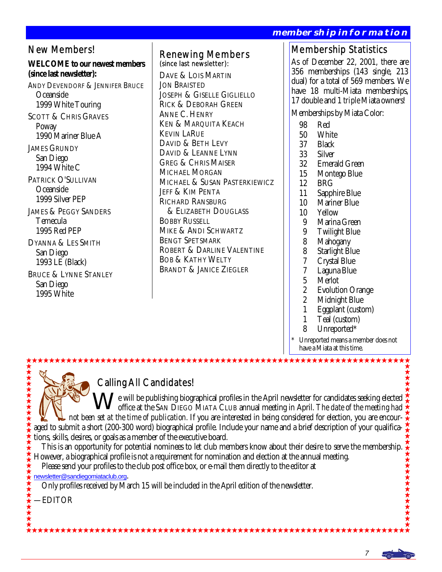**RMATION** 

 1 Teal (custom) 8 Unreported\*

have a Miata at this time.

Unreported means a member does not

|                                                                                                                                                                                                                                                                                                                                                                                                                                                                                                                                                       |                                                                                                                                                                                                                                                                                                                                                                                                                                                                                                                                                                                                                                                                                                        |                                                                                                                                              | <u> MEMBERSHIP INFORMA I ION</u>                                                                                                                                                                                                                                                                                                                                                                                                                                                                                                                                                                                                      |
|-------------------------------------------------------------------------------------------------------------------------------------------------------------------------------------------------------------------------------------------------------------------------------------------------------------------------------------------------------------------------------------------------------------------------------------------------------------------------------------------------------------------------------------------------------|--------------------------------------------------------------------------------------------------------------------------------------------------------------------------------------------------------------------------------------------------------------------------------------------------------------------------------------------------------------------------------------------------------------------------------------------------------------------------------------------------------------------------------------------------------------------------------------------------------------------------------------------------------------------------------------------------------|----------------------------------------------------------------------------------------------------------------------------------------------|---------------------------------------------------------------------------------------------------------------------------------------------------------------------------------------------------------------------------------------------------------------------------------------------------------------------------------------------------------------------------------------------------------------------------------------------------------------------------------------------------------------------------------------------------------------------------------------------------------------------------------------|
| <b>New Members!</b><br><b>WELCOME</b> to our newest members<br>(since last newsletter):<br><b>ANDY DEVENDORF &amp; JENNIFER BRUCE</b><br>Oceanside<br>1999 White Touring<br><b>SCOTT &amp; CHRIS GRAVES</b><br>Poway<br>1990 Mariner Blue A<br><b>JAMES GRUNDY</b><br>San Diego<br>1994 White C<br>PATRICK O'SULLIVAN<br>Oceanside<br>1999 Silver PEP<br><b>JAMES &amp; PEGGY SANDERS</b><br>Temecula<br>1995 Red PEP<br><b>DYANNA &amp; LES SMITH</b><br>San Diego<br>1993 LE (Black)<br><b>BRUCE &amp; LYNNE STANLEY</b><br>San Diego<br>1995 White | <b>Renewing Members</b><br>(since last newsletter):<br>DAVE & LOIS MARTIN<br><b>JON BRAISTED</b><br><b>JOSEPH &amp; GISELLE GIGLIELLO</b><br><b>RICK &amp; DEBORAH GREEN</b><br><b>ANNE C. HENRY</b><br><b>KEN &amp; MARQUITA KEACH</b><br><b>KEVIN LARUE</b><br>DAVID & BETH LEVY<br>DAVID & LEANNE LYNN<br><b>GREG &amp; CHRIS MAISER</b><br><b>MICHAEL MORGAN</b><br>MICHAEL & SUSAN PASTERKIEWICZ<br><b>JEFF &amp; KIM PENTA</b><br><b>RICHARD RANSBURG</b><br><b>&amp; ELIZABETH DOUGLASS</b><br><b>BOBBY RUSSELL</b><br><b>MIKE &amp; ANDI SCHWARTZ</b><br><b>BENGT SPETSMARK</b><br><b>ROBERT &amp; DARLINE VALENTINE</b><br><b>BOB &amp; KATHY WELTY</b><br><b>BRANDT &amp; JANICE ZIEGLER</b> | 98<br>50<br>37<br>33<br>32<br>15<br>12<br>11<br>10<br>10<br>9<br>9<br>8<br>8<br>7<br>7<br>$\overline{5}$<br>$\overline{c}$<br>$\overline{c}$ | <b>Membership Statistics</b><br>As of December 22, 2001, there are<br>356 memberships (143 single, 213<br>dual) for a total of 569 members. We<br>have 18 multi-Miata memberships,<br>17 double and 1 <i>triple</i> Miata owners!<br>Memberships by Miata Color:<br>Red<br>White<br><b>Black</b><br><b>Silver</b><br><b>Emerald Green</b><br>Montego Blue<br><b>BRG</b><br>Sapphire Blue<br><b>Mariner Blue</b><br>Yellow<br>Marina Green<br><b>Twilight Blue</b><br>Mahogany<br><b>Starlight Blue</b><br><b>Crystal Blue</b><br>Laguna Blue<br><b>Merlot</b><br><b>Evolution Orange</b><br><b>Midnight Blue</b><br>Eggplant (custom) |

# Calling All Candidates!

We will be publishing biographical profiles in the April newsletter for candidates seeking elected office at the SAN DIEGO MIATA CLUB annual meeting in April. *The date of the meeting had not been set at the time of publication.* If you are interested in being considered for election, you are encouraged to submit a short (200-300 word) biographical profile. Include your name and a brief description of your qualifications, skills, desires, or goals as a member of the executive board.

This is an opportunity for potential nominees to let club members know about their desire to serve the membership.  $\star \star$ <br>owever, a biographical profile is not a requirement for nomination and election at the annual meeti However, a biographical profile is not a requirement for nomination and election at the annual meeting.

Please send your profiles to the club post office box, or e-mail them directly to the editor at

[newsletter@sandiegomiataclub.org](mailto:newsletter@sandiegomiataclub.org).

Only profiles received by March 15 will be included in the April edition of the newsletter.

—EDITOR

\*\*\*\*\*\*\*\*\*\*\*\*\*\*

\*\*\*\*\*\*\*\*\*\*\*\*\*\*\*\*\*\*\*\*\*\*\*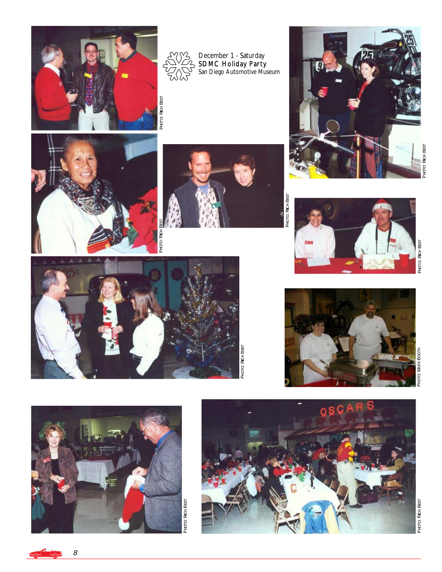



December 1 - Saturday<br>SDMC Holiday Party San Diego Automotive Museum



PHOTO: **RICHBEST** 





PHOTO: **RICH BEST** 



PHOTO: **RICHBEST** 



PHOTO:

to: Mark k Booπн







8 <u>a ka</u>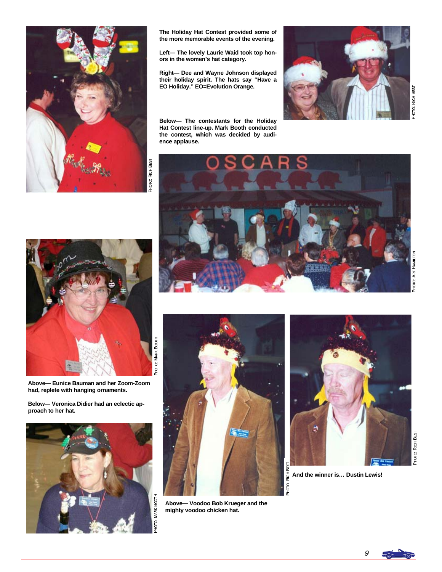

**Left— The lovely Laurie Waid took top honors in the women's hat category.** 

**Right— Dee and Wayne Johnson displayed their holiday spirit. The hats say "Have a EO Holiday." EO=Evolution Orange.** 

**Below— The contestants for the Holiday Hat Contest line-up. Mark Booth conducted the contest, which was decided by audience applause.** 



z



**Above— Eunice Bauman and her Zoom-Zoom had, replete with hanging ornaments.** 

**Below— Veronica Didier had an eclectic approach to her hat.** 









**And the winner is… Dustin Lewis!**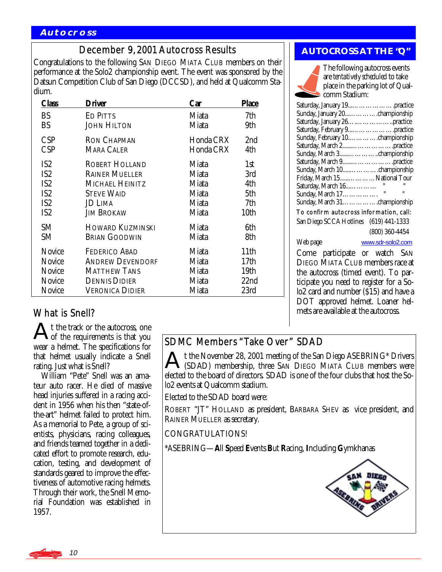# December 9, 2001 Autocross Results

Congratulations to the following SAN DIEGO MIATA CLUB members on their performance at the Solo2 championship event. The event was sponsored by the Datsun Competition Club of San Diego (DCCSD), and held at Qualcomm Stadium.

| Class           | Driver                  | Car       | <b>Place</b> |
|-----------------|-------------------------|-----------|--------------|
| <b>BS</b>       | <b>ED PITTS</b>         | Miata     | 7th          |
| <b>BS</b>       | <b>JOHN HILTON</b>      | Miata     | 9th          |
| <b>CSP</b>      | <b>RON CHAPMAN</b>      | Honda CRX | 2nd          |
| <b>CSP</b>      | <b>MARA CALER</b>       | Honda CRX | 4th          |
| IS <sub>2</sub> | <b>ROBERT HOLLAND</b>   | Miata     | 1st          |
| IS <sub>2</sub> | <b>RAINER MUELLER</b>   | Miata     | 3rd          |
| IS <sub>2</sub> | MICHAEL HEINITZ         | Miata     | 4th          |
| IS <sub>2</sub> | <b>STEVE WAID</b>       | Miata     | 5th          |
| IS <sub>2</sub> | <b>JD LIMA</b>          | Miata     | 7th          |
| IS <sub>2</sub> | <b>JIM BROKAW</b>       | Miata     | 10th         |
| <b>SM</b>       | <b>HOWARD KUZMINSKI</b> | Miata     | 6th          |
| SM              | <b>BRIAN GOODWIN</b>    | Miata     | 8th          |
| <b>Novice</b>   | <b>FEDERICO ABAD</b>    | Miata     | 11th         |
| Novice          | <b>ANDREW DEVENDORF</b> | Miata     | 17th         |
| <b>Novice</b>   | <b>MATTHEW TANS</b>     | Miata     | 19th         |
| Novice          | <b>DENNIS DIDIER</b>    | Miata     | 22nd         |
| <b>Novice</b>   | VERONICA DIDIER         | Miata     | 23rd         |

# **AUTOCROSS AT THE "Q"**



The following autocross events are *tentatively scheduled* to take place in the parking lot of Qualcomm Stadium:

| Saturday, January 19practice            |  |  |  |  |
|-----------------------------------------|--|--|--|--|
| Sunday, January 20championship          |  |  |  |  |
|                                         |  |  |  |  |
| Saturday, February 9practice            |  |  |  |  |
| Sunday, February 10championship         |  |  |  |  |
| Saturday, March 2practice               |  |  |  |  |
| Sunday, March 3championship             |  |  |  |  |
| Saturday, March 9practice               |  |  |  |  |
| Sunday, March 10championship            |  |  |  |  |
| Friday, March 15National Tour           |  |  |  |  |
| Saturday, March 16                      |  |  |  |  |
| $\mathbf{u}$<br>"<br>Sunday, March 17.  |  |  |  |  |
| Sunday, March 31championship            |  |  |  |  |
| To confirm autocross information, call: |  |  |  |  |
| San Diego SCCA Hotlines (619) 441-1333  |  |  |  |  |
| $(800)$ 360-4454                        |  |  |  |  |
| Web page<br>www.sdr-solo2.com           |  |  |  |  |
| Come participate or watch SAN           |  |  |  |  |
| <b>DIEGO MIATA CLUB members race at</b> |  |  |  |  |
| the autocross (timed event). To par-    |  |  |  |  |
| ticipate you need to register for a So- |  |  |  |  |

lo2 card and number (\$15) and have a DOT approved helmet. Loaner helmets are available at the autocross.

What is Snell?

t the track or the autocross, one **Not** the requirements is that you wear a helmet. The specifications for that helmet usually indicate a Snell rating. Just what is Snell?

 William "Pete" Snell was an amateur auto racer. He died of massive head injuries suffered in a racing accident in 1956 when his then "state-ofthe-art" helmet failed to protect him. As a memorial to Pete, a group of scientists, physicians, racing colleagues, and friends teamed together in a dedicated effort to promote research, education, testing, and development of standards geared to improve the effectiveness of automotive racing helmets. Through their work, the Snell Memorial Foundation was established in 1957.

# SDMC Members "Take Over" SDAD

At the November 28, 2001 meeting of the San Diego ASEBRING\* Drivers (SDAD) membership, three SAN DIEGO MIATA CLUB members were elected to the board of directors. SDAD is one of the four clubs that host the Solo2 events at Qualcomm stadium.

Elected to the SDAD board were:

ROBERT "JT" HOLLAND as president, BARBARA SHEV as vice president, and RAINER MUELLER as secretary.

CONGRATULATIONS!

\*ASEBRING—**A**ll **S**peed **E**vents **B**ut **R**acing, **I**ncluding **G**ymkhanas



10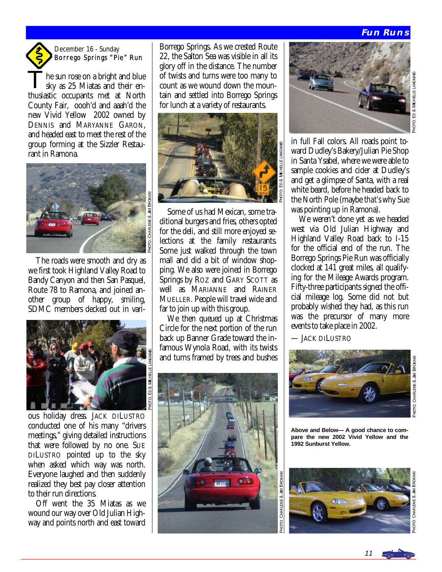# **Fun Runs**

PHOTO:

ED & MICHELLE LANGM

# December 16 - Sunday Borrego Springs "Pie" Run

he sun rose on a bright and blue sky as 25 Miatas and their enthusiastic occupants met at North County Fair, oooh'd and aaah'd the new Vivid Yellow 2002 owned by DENNIS and MARYANNE GARON, and headed east to meet the rest of the group forming at the Sizzler Restaurant in Ramona.



 The roads were smooth and dry as we first took Highland Valley Road to Bandy Canyon and then San Pasquel, Route 78 to Ramona, and joined another group of happy, smiling, SDMC members decked out in vari-



₽

ous holiday dress. JACK DILUSTRO conducted one of his many "drivers meetings," giving detailed instructions that were followed by no one. SUE DILUSTRO pointed up to the sky when asked which way was north. Everyone laughed and then suddenly realized they best pay closer attention to their run directions.

 Off went the 35 Miatas as we wound our way over Old Julian Highway and points north and east toward Borrego Springs. As we crested Route 22, the Salton Sea was visible in all its glory off in the distance. The number of twists and turns were too many to count as we wound down the mountain and settled into Borrego Springs for lunch at a variety of restaurants.



 Some of us had Mexican, some traditional burgers and fries, others opted for the deli, and still more enjoyed selections at the family restaurants. Some just walked through the town mall and did a bit of window shopping. We also were joined in Borrego Springs by ROZ and GARY SCOTT as well as MARIANNE and RAINER MUELLER. People will travel wide and far to join up with this group.

 We then queued up at Christmas Circle for the next portion of the run back up Banner Grade toward the infamous Wynola Road, with its twists and turns framed by trees and bushes





in full Fall colors. All roads point toward Dudley's Bakery/Julian Pie Shop in Santa Ysabel, where we were able to sample cookies and cider at Dudley's and get a glimpse of Santa, with a real white beard, before he headed back to the North Pole (maybe *that's* why Sue was pointing up in Ramona).

 We weren't done yet as we headed west via Old Julian Highway and Highland Valley Road back to I-15 for the official end of the run. The Borrego Springs Pie Run was officially clocked at 141 great miles, all qualifying for the Mileage Awards program. Fifty-three participants signed the official mileage log. Some did not but probably wished they had, as this run was the precursor of many more events to take place in 2002.

— JACK DILUSTRO



**Above and Below— A good chance to compare the new 2002 Vivid Yellow and the 1992 Sunburst Yellow.** 



CHARLENE & JIM MBRO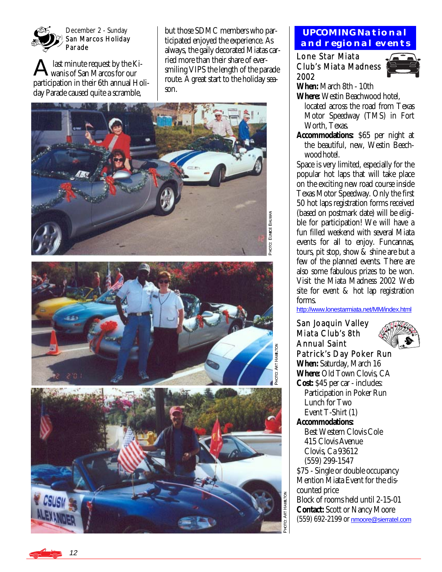

December 2 - Sunday San Marcos Holiday Parade

last minute request by the Kiwanis of San Marcos for our participation in their 6th annual Holiday Parade caused quite a scramble,

but those SDMC members who participated enjoyed the experience. As always, the gaily decorated Miatas carried more than their share of eversmiling VIPS the length of the parade route. A great start to the holiday season.







# **UPCOMING National and regional events**

Lone Star Miata Club's Miata Madness 2002



**When:** March 8th - 10th **Where:** Westin Beachwood hotel,

 located across the road from Texas Motor Speedway (TMS) in Fort Worth, Texas.

**Accommodations:** \$65 per night at the beautiful, new, Westin Beech wood hotel.

Space is very limited, especially for the popular hot laps that will take place on the exciting new road course inside Texas Motor Speedway. Only the first 50 hot laps registration forms received (based on postmark date) will be eligible for participation! We will have a fun filled weekend with several Miata events for all to enjoy. Funcannas, tours, pit stop, show & shine are but a few of the planned events. There are also some fabulous prizes to be won. Visit the Miata Madness 2002 Web site for event & hot lap registration forms.

<http://www.lonestarmiata.net/MM/index.html>

San Joaquin Valley Miata Club's 8th Annual Saint Patrick's Day Poker Run **When:** Saturday, March 16 **Where:** Old Town Clovis, CA **Cost:** \$45 per car - includes: Participation in Poker Run Lunch for Two Event T-Shirt (1) **Accommodations:**  Best Western Clovis Cole 415 Clovis Avenue Clovis, Ca 93612 (559) 299-1547 \$75 - Single or double occupancy Mention Miata Event for the discounted price Block of rooms held until 2-15-01 **Contact:** Scott or Nancy Moore (559) 692-2199 or [nmoore@sierratel.com](mailto:nmoore@sierratel.com)

<u>م+م</u> -ART HAM  $\frac{2}{3}$ 

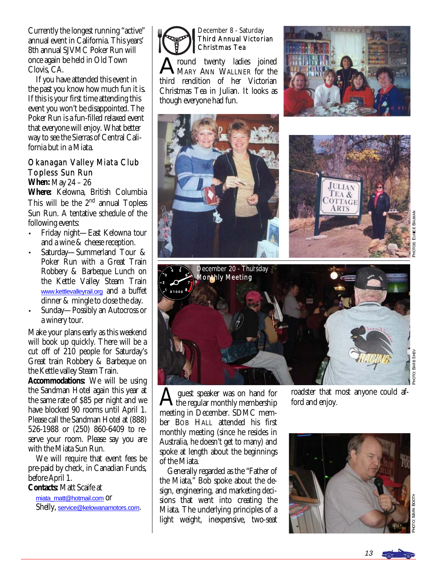Currently the longest running "active" annual event in California. This years' 8th annual SJVMC Poker Run will once again be held in Old Town Clovis, CA.

 If you have attended this event in the past you know how much fun it is. If this is your first time attending this event you won't be disappointed. The Poker Run is a fun-filled relaxed event that everyone will enjoy. What better way to see the Sierras of Central California but in a Miata.

# Okanagan Valley Miata Club Topless Sun Run

**When:** May 24 – 26

**Where:** Kelowna, British Columbia This will be the 2<sup>nd</sup> annual Topless Sun Run. A tentative schedule of the following events:

- Friday night—East Kelowna tour and a wine & cheese reception.
- Saturday—Summerland Tour & Poker Run with a Great Train Robbery & Barbeque Lunch on the Kettle Valley Steam Train [www.kettlevalleyrail.org](http://www.kettlevalleyrail.org) and a buffet dinner & mingle to close the day.
- Sunday—Possibly an Autocross or a winery tour.

Make your plans early as this weekend will book up quickly. There will be a cut off of 210 people for Saturday's Great train Robbery & Barbeque on the Kettle valley Steam Train.

**Accommodations:** We will be using the Sandman Hotel again this year at the same rate of \$85 per night and we have blocked 90 rooms until April 1. Please call the Sandman Hotel at (888) 526-1988 or (250) 860-6409 to reserve your room. Please say you are with the Miata Sun Run.

 We will require that event fees be pre-paid by check, in Canadian Funds, before April 1.

**Contacts:** Matt Scaife at

[miata\\_matt@hotmail.com](mailto:miata_matt@hotmail.com) or Shelly, [service@kelowanamotors.com](mailto:service@kelowanamotors.com). December 8 - Saturday Third Annual Victorian Christmas Tea

round twenty ladies joined MARY ANN WALLNER for the third rendition of her Victorian Christmas Tea in Julian. It looks as though everyone had fun.





TO: BARB SHEV



 $A$  guest speaker was on hand for<br>the regular monthly membership meeting in December. SDMC member BOB HALL attended his first monthly meeting (since he resides in Australia, he doesn't get to many) and spoke at length about the beginnings of the Miata.

 Generally regarded as the "Father of the Miata," Bob spoke about the design, engineering, and marketing decisions that went into creating the Miata. The underlying principles of a light weight, inexpensive, two-seat

roadster that most anyone could afford and enjoy.

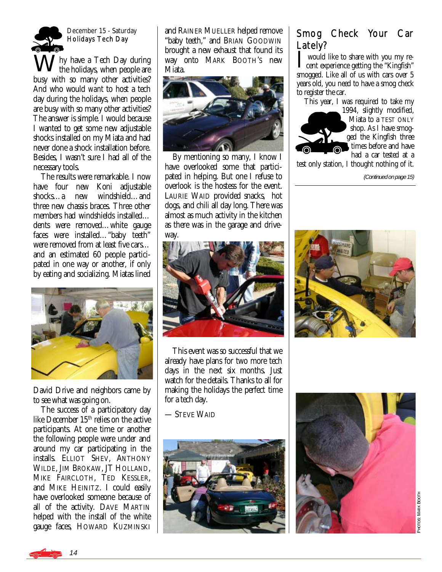

December 15 - Saturday Holidays Tech Day

Why have a Tech Day during the holidays, when people are busy with so many other activities? And who would *want* to host a tech day during the holidays, when people are busy with so many other activities? The answer is simple. *I* would because I wanted to get some new adjustable shocks installed on my Miata and had never done a shock installation before. Besides, I wasn't sure I had all of the necessary tools.

 The results were remarkable. I now have four new Koni adjustable shocks…a new windshield…and three new chassis braces. Three other members had windshields installed… dents were removed…white gauge faces were installed…"baby teeth" were removed from at least five cars… and an estimated 60 people participated in one way or another, if only by eating and socializing. Miatas lined



David Drive and neighbors came by to see what was going on.

 The success of a participatory day like December 15<sup>th</sup> relies on the active participants. At one time or another the following people were under and around my car participating in the installs. ELLIOT SHEV, ANTHONY WILDE, JIM BROKAW, JT HOLLAND, MIKE FAIRCLOTH, TED KESSLER, and MIKE HEINITZ. I could easily have overlooked someone because of all of the activity. DAVE MARTIN helped with the install of the white gauge faces, HOWARD KUZMINSKI and RAINER MUELLER helped remove "baby teeth," and BRIAN GOODWIN brought a new exhaust that found its way onto MARK BOOTH'S new Miata.



 By mentioning so many, I know I have overlooked some that participated in helping. But one I refuse to overlook is the hostess for the event. LAURIE WAID provided snacks, hot dogs, and chili all day long. There was almost as much activity in the kitchen as there was in the garage and driveway.



 This event was so successful that we already have plans for two more tech days in the next six months. Just watch for the details. Thanks to all for making the holidays the perfect time for a tech day.

— STEVE WAID



# Smog Check Your Car Lately?

I would like to share with you my recent experience getting the "Kingfish" smogged. Like all of us with cars over 5 years old, you need to have a smog check to register the car.

This year, I was required to take my



test only station, I thought nothing of it.

(Continued on page 15)